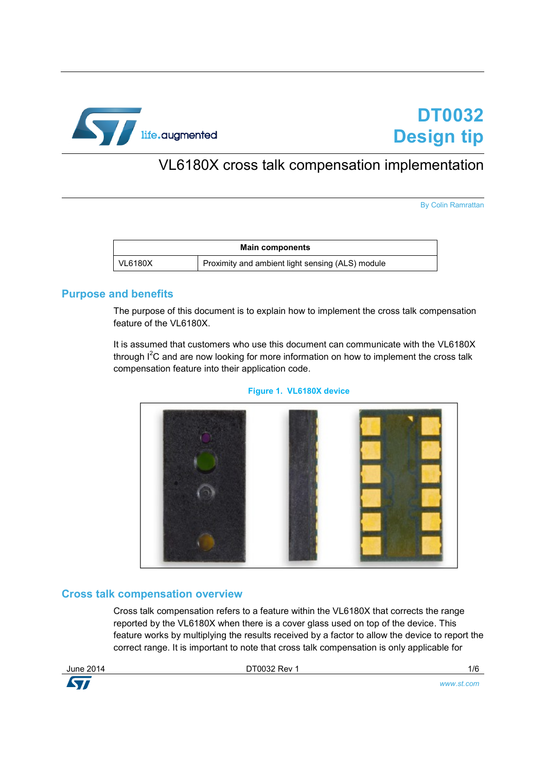

# VL6180X cross talk compensation implementation

By Colin Ramrattan

| <b>Main components</b> |                                                  |  |
|------------------------|--------------------------------------------------|--|
| VL6180X                | Proximity and ambient light sensing (ALS) module |  |

#### **Purpose and benefits**

The purpose of this document is to explain how to implement the cross talk compensation feature of the VL6180X.

It is assumed that customers who use this document can communicate with the VL6180X through  $I^2C$  and are now looking for more information on how to implement the cross talk compensation feature into their application code.





#### **Cross talk compensation overview**

Cross talk compensation refers to a feature within the VL6180X that corrects the range reported by the VL6180X when there is a cover glass used on top of the device. This feature works by multiplying the results received by a factor to allow the device to report the correct range. It is important to note that cross talk compensation is only applicable for

**KVI** 

June 2014 DT0032 Rev 1 1/6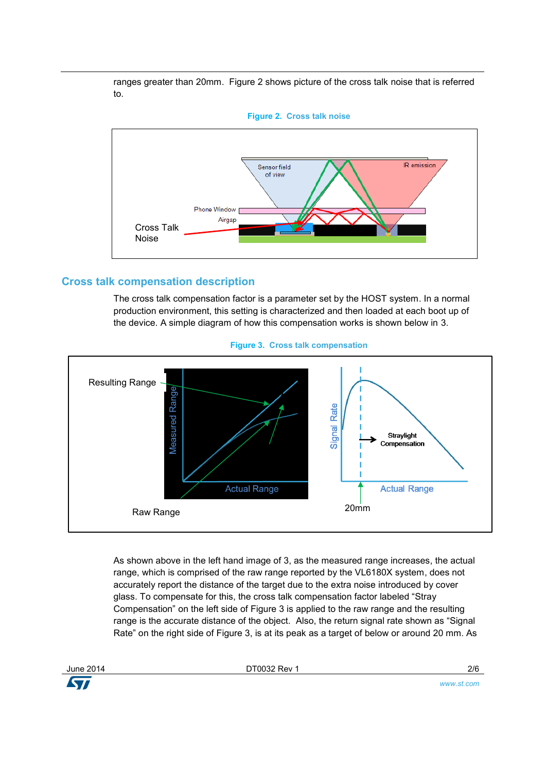ranges greater than 20mm. Figure 2 shows picture of the cross talk noise that is referred to.





# **Cross talk compensation description**

The cross talk compensation factor is a parameter set by the HOST system. In a normal production environment, this setting is characterized and then loaded at each boot up of the device. A simple diagram of how this compensation works is shown below in 3.



**Figure 3. Cross talk compensation**

As shown above in the left hand image of 3, as the measured range increases, the actual range, which is comprised of the raw range reported by the VL6180X system, does not accurately report the distance of the target due to the extra noise introduced by cover glass. To compensate for this, the cross talk compensation factor labeled "Stray Compensation" on the left side of Figure 3 is applied to the raw range and the resulting range is the accurate distance of the object. Also, the return signal rate shown as "Signal Rate" on the right side of Figure 3, is at its peak as a target of below or around 20 mm. As



June 2014 DT0032 Rev 1 2/6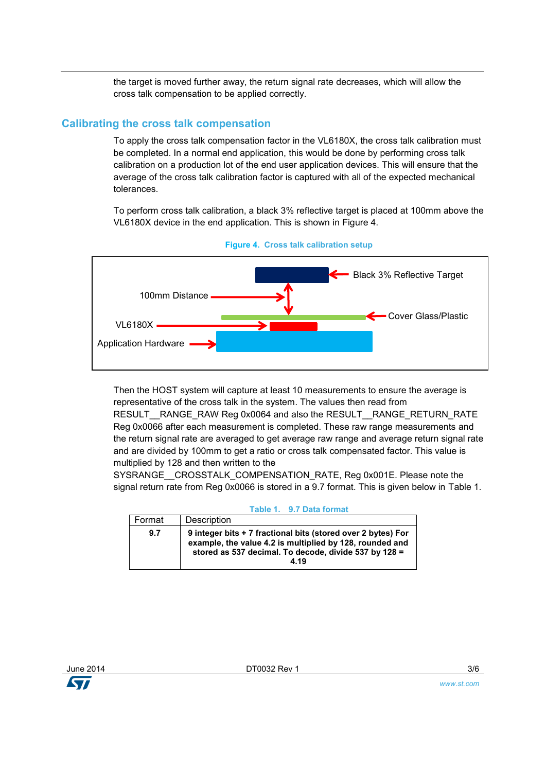the target is moved further away, the return signal rate decreases, which will allow the cross talk compensation to be applied correctly.

### **Calibrating the cross talk compensation**

To apply the cross talk compensation factor in the VL6180X, the cross talk calibration must be completed. In a normal end application, this would be done by performing cross talk calibration on a production lot of the end user application devices. This will ensure that the average of the cross talk calibration factor is captured with all of the expected mechanical tolerances.

To perform cross talk calibration, a black 3% reflective target is placed at 100mm above the VL6180X device in the end application. This is shown in Figure 4.





Then the HOST system will capture at least 10 measurements to ensure the average is representative of the cross talk in the system. The values then read from RESULT RANGE\_RAW Reg 0x0064 and also the RESULT \_RANGE\_RETURN\_RATE Reg 0x0066 after each measurement is completed. These raw range measurements and the return signal rate are averaged to get average raw range and average return signal rate and are divided by 100mm to get a ratio or cross talk compensated factor. This value is

multiplied by 128 and then written to the

SYSRANGE\_\_CROSSTALK\_COMPENSATION\_RATE, Reg 0x001E. Please note the signal return rate from Reg 0x0066 is stored in a 9.7 format. This is given below in Table 1.

| <i>J.I DERE</i> IVIIIER                                                                                                                                                                   |  |  |
|-------------------------------------------------------------------------------------------------------------------------------------------------------------------------------------------|--|--|
| Description                                                                                                                                                                               |  |  |
| 9 integer bits + 7 fractional bits (stored over 2 bytes) For<br>example, the value 4.2 is multiplied by 128, rounded and<br>stored as 537 decimal. To decode, divide 537 by 128 =<br>4.19 |  |  |
|                                                                                                                                                                                           |  |  |

# **Table 1. 9.7 Data format**

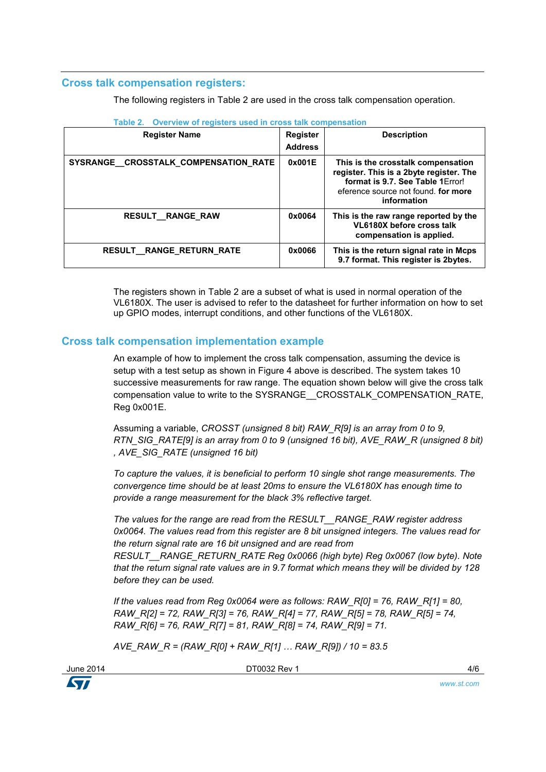# **Cross talk compensation registers:**

The following registers in Table 2 are used in the cross talk compensation operation.

| <b>Register Name</b>                 | <b>Register</b><br><b>Address</b> | <b>Description</b>                                                                                                                                                       |
|--------------------------------------|-----------------------------------|--------------------------------------------------------------------------------------------------------------------------------------------------------------------------|
| SYSRANGE_CROSSTALK_COMPENSATION_RATE | 0x001E                            | This is the crosstalk compensation<br>register. This is a 2byte register. The<br>format is 9.7. See Table 1 Error!<br>eference source not found. for more<br>information |
| <b>RESULT RANGE RAW</b>              | 0x0064                            | This is the raw range reported by the<br>VL6180X before cross talk<br>compensation is applied.                                                                           |
| RESULT_RANGE_RETURN_RATE             | 0x0066                            | This is the return signal rate in Mcps<br>9.7 format. This register is 2bytes.                                                                                           |

The registers shown in Table 2 are a subset of what is used in normal operation of the VL6180X. The user is advised to refer to the datasheet for further information on how to set up GPIO modes, interrupt conditions, and other functions of the VL6180X.

# **Cross talk compensation implementation example**

An example of how to implement the cross talk compensation, assuming the device is setup with a test setup as shown in Figure 4 above is described. The system takes 10 successive measurements for raw range. The equation shown below will give the cross talk compensation value to write to the SYSRANGE\_\_CROSSTALK\_COMPENSATION\_RATE, Reg 0x001E.

Assuming a variable, *CROSST (unsigned 8 bit) RAW\_R[9] is an array from 0 to 9, RTN\_SIG\_RATE[9] is an array from 0 to 9 (unsigned 16 bit), AVE\_RAW\_R (unsigned 8 bit) , AVE\_SIG\_RATE (unsigned 16 bit)*

*To capture the values, it is beneficial to perform 10 single shot range measurements. The convergence time should be at least 20ms to ensure the VL6180X has enough time to provide a range measurement for the black 3% reflective target.*

*The values for the range are read from the RESULT\_\_RANGE\_RAW register address 0x0064. The values read from this register are 8 bit unsigned integers. The values read for the return signal rate are 16 bit unsigned and are read from* 

*RESULT\_\_RANGE\_RETURN\_RATE Reg 0x0066 (high byte) Reg 0x0067 (low byte). Note that the return signal rate values are in 9.7 format which means they will be divided by 128 before they can be used.*

*If the values read from Reg 0x0064 were as follows: RAW\_R[0] = 76, RAW\_R[1] = 80, RAW\_R[2] = 72, RAW\_R[3] = 76, RAW\_R[4] = 77, RAW\_R[5] = 78, RAW\_R[5] = 74, RAW\_R[6] = 76, RAW\_R[7] = 81, RAW\_R[8] = 74, RAW\_R[9] = 71.*

*AVE\_RAW\_R = (RAW\_R[0] + RAW\_R[1] … RAW\_R[9]) / 10 = 83.5*

DT0032 Rev 1 4/6

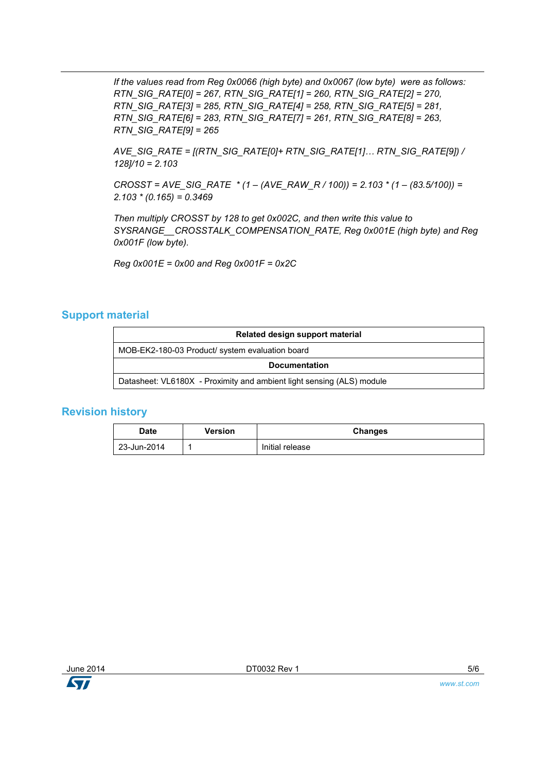*If the values read from Reg 0x0066 (high byte) and 0x0067 (low byte) were as follows: RTN\_SIG\_RATE[0] = 267, RTN\_SIG\_RATE[1] = 260, RTN\_SIG\_RATE[2] = 270, RTN\_SIG\_RATE[3] = 285, RTN\_SIG\_RATE[4] = 258, RTN\_SIG\_RATE[5] = 281, RTN\_SIG\_RATE[6] = 283, RTN\_SIG\_RATE[7] = 261, RTN\_SIG\_RATE[8] = 263, RTN\_SIG\_RATE[9] = 265*

*AVE\_SIG\_RATE = [(RTN\_SIG\_RATE[0]+ RTN\_SIG\_RATE[1]… RTN\_SIG\_RATE[9]) / 128]/10 = 2.103*

*CROSST = AVE\_SIG\_RATE \* (1 – (AVE\_RAW\_R / 100)) = 2.103 \* (1 – (83.5/100)) = 2.103 \* (0.165) = 0.3469*

*Then multiply CROSST by 128 to get 0x002C, and then write this value to SYSRANGE\_\_CROSSTALK\_COMPENSATION\_RATE, Reg 0x001E (high byte) and Reg 0x001F (low byte).* 

*Reg 0x001E = 0x00 and Reg 0x001F = 0x2C*

#### **Support material**

| Related design support material                                       |  |  |
|-----------------------------------------------------------------------|--|--|
| MOB-EK2-180-03 Product/ system evaluation board                       |  |  |
| <b>Documentation</b>                                                  |  |  |
| Datasheet: VL6180X - Proximity and ambient light sensing (ALS) module |  |  |

#### **Revision history**

| <b>Date</b> | Version | Changes         |
|-------------|---------|-----------------|
| 23-Jun-2014 |         | Initial release |